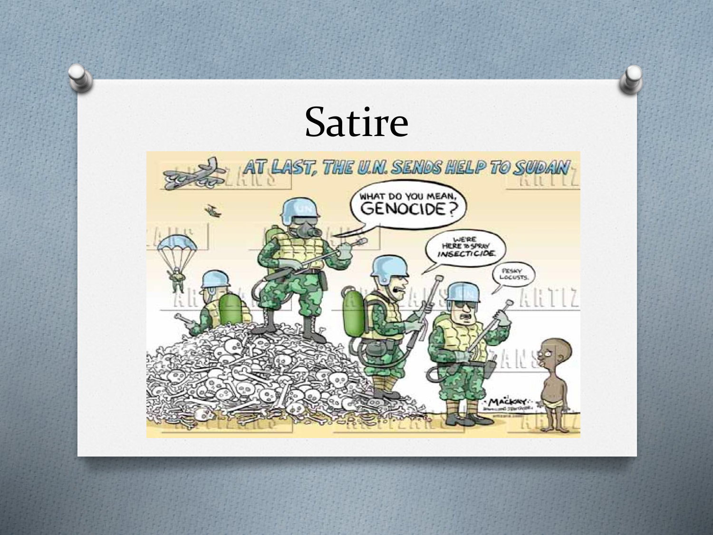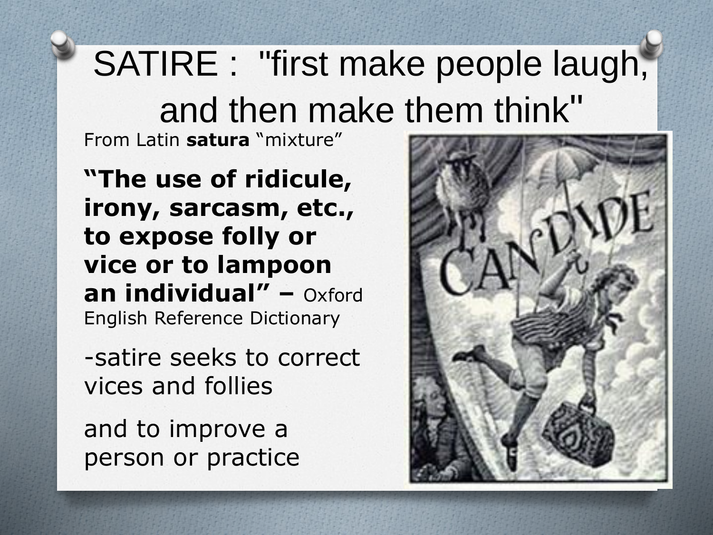## SATIRE : "first make people laugh, and then make them think"

From Latin **satura** "mixture"

**"The use of ridicule, irony, sarcasm, etc., to expose folly or vice or to lampoon an individual" –** Oxford English Reference Dictionary

-satire seeks to correct vices and follies

and to improve a person or practice

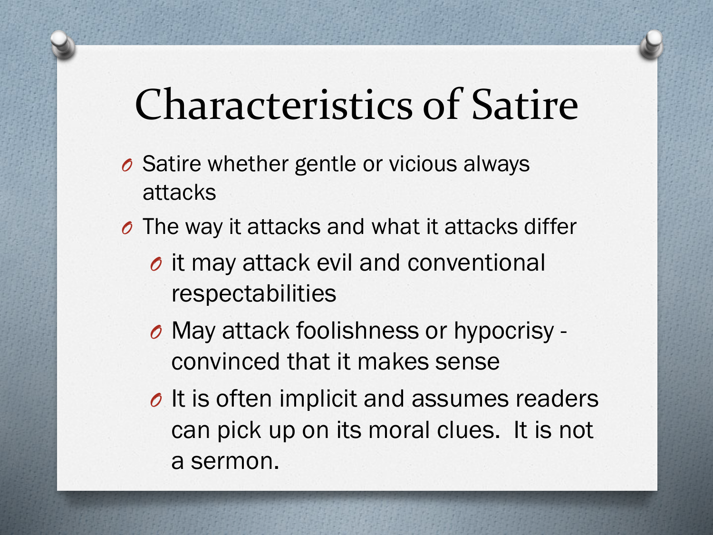## Characteristics of Satire

- *O* Satire whether gentle or vicious always attacks
- *O* The way it attacks and what it attacks differ
	- *O* it may attack evil and conventional respectabilities
	- *O* May attack foolishness or hypocrisy convinced that it makes sense
	- *O* It is often implicit and assumes readers can pick up on its moral clues. It is not a sermon.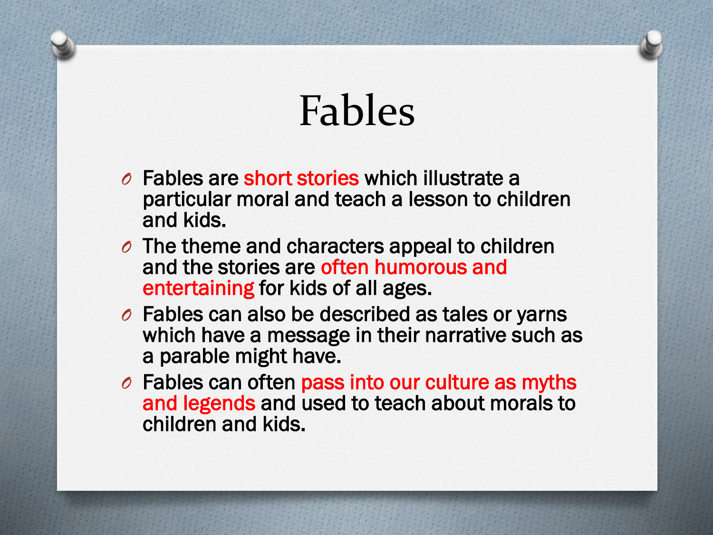# Fables

- *O* Fables are short stories which illustrate a particular moral and teach a lesson to children and kids.
- *O* The theme and characters appeal to children and the stories are often humorous and entertaining for kids of all ages.
- *O* Fables can also be described as tales or yarns which have a message in their narrative such as a parable might have.
- *O* Fables can often pass into our culture as myths and legends and used to teach about morals to children and kids.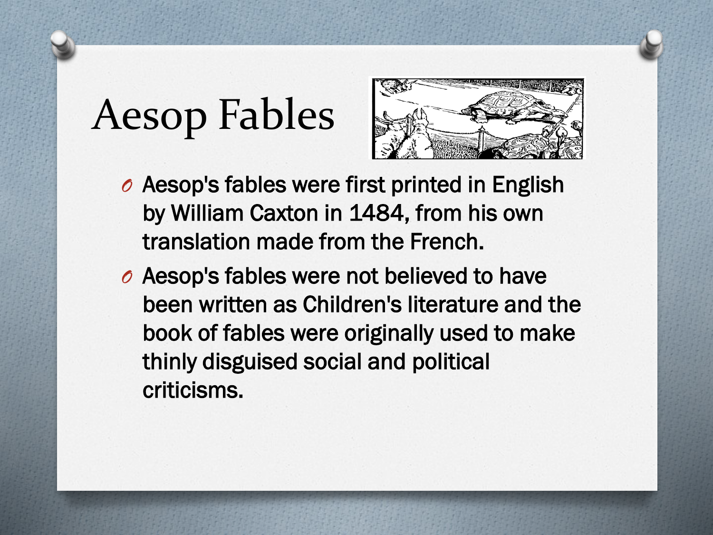# Aesop Fables



- *O* Aesop's fables were first printed in English by William Caxton in 1484, from his own translation made from the French.
- *O* Aesop's fables were not believed to have been written as Children's literature and the book of fables were originally used to make thinly disguised social and political criticisms.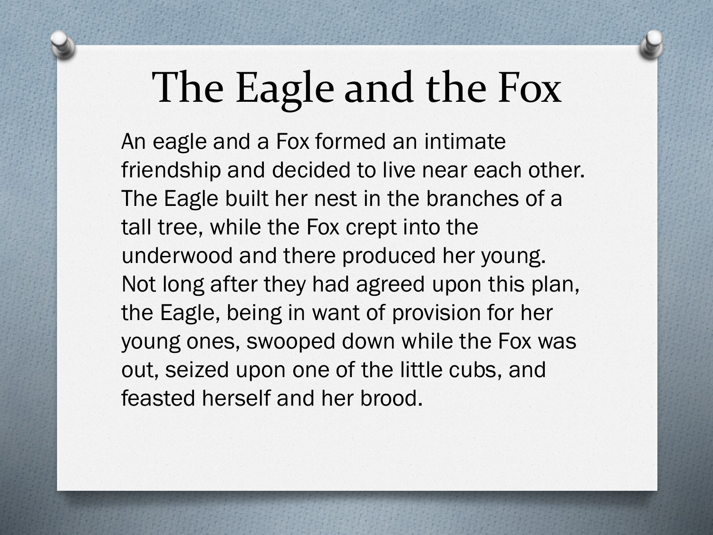# The Eagle and the Fox

An eagle and a Fox formed an intimate friendship and decided to live near each other. The Eagle built her nest in the branches of a tall tree, while the Fox crept into the underwood and there produced her young. Not long after they had agreed upon this plan, the Eagle, being in want of provision for her young ones, swooped down while the Fox was out, seized upon one of the little cubs, and feasted herself and her brood.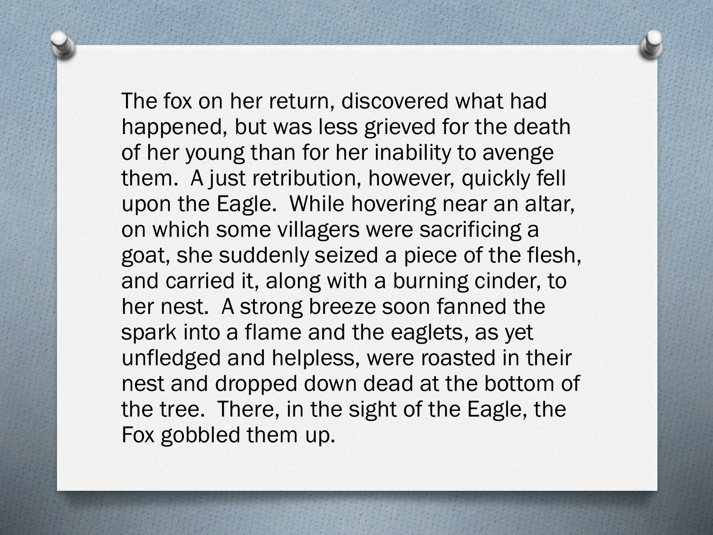The fox on her return, discovered what had happened, but was less grieved for the death of her young than for her inability to avenge them. A just retribution, however, quickly fell upon the Eagle. While hovering near an altar, on which some villagers were sacrificing a goat, she suddenly seized a piece of the flesh, and carried it, along with a burning cinder, to her nest. A strong breeze soon fanned the spark into a flame and the eaglets, as yet unfledged and helpless, were roasted in their nest and dropped down dead at the bottom of the tree. There, in the sight of the Eagle, the Fox gobbled them up.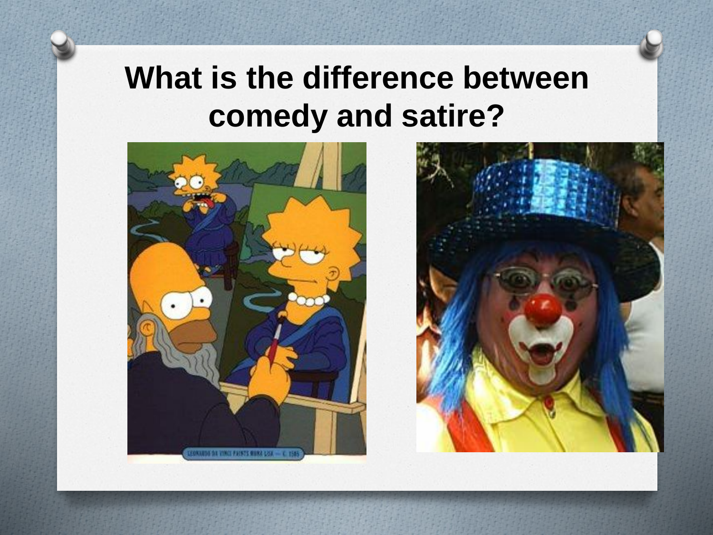#### **What is the difference between comedy and satire?**



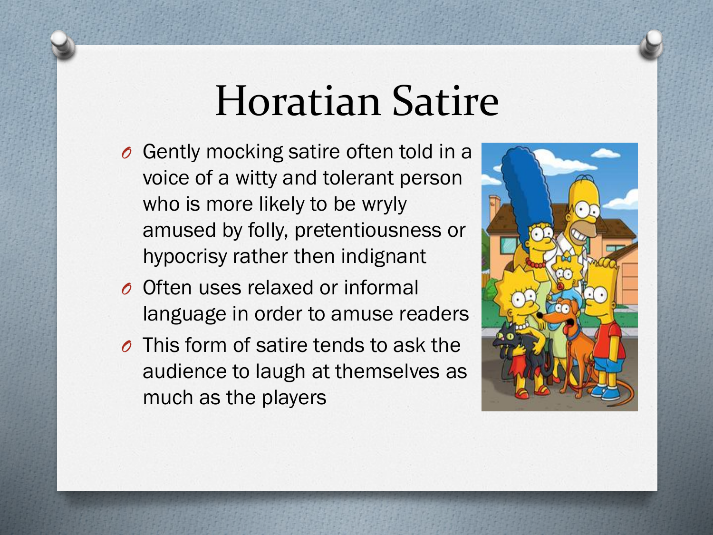### Horatian Satire

- *O* Gently mocking satire often told in a voice of a witty and tolerant person who is more likely to be wryly amused by folly, pretentiousness or hypocrisy rather then indignant
- *O* Often uses relaxed or informal language in order to amuse readers
- *O* This form of satire tends to ask the audience to laugh at themselves as much as the players

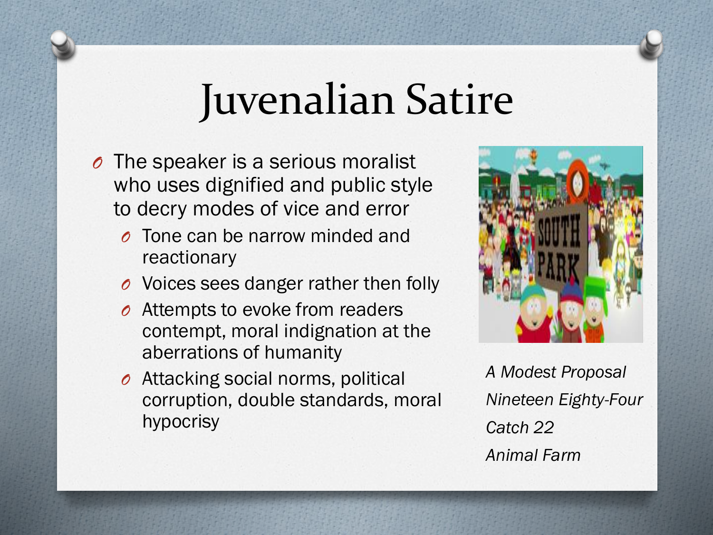### Juvenalian Satire

- *O* The speaker is a serious moralist who uses dignified and public style to decry modes of vice and error
	- *O* Tone can be narrow minded and reactionary
	- *O* Voices sees danger rather then folly
	- *O* Attempts to evoke from readers contempt, moral indignation at the aberrations of humanity
	- *O* Attacking social norms, political corruption, double standards, moral hypocrisy



*A Modest Proposal Nineteen Eighty-Four Catch 22 Animal Farm*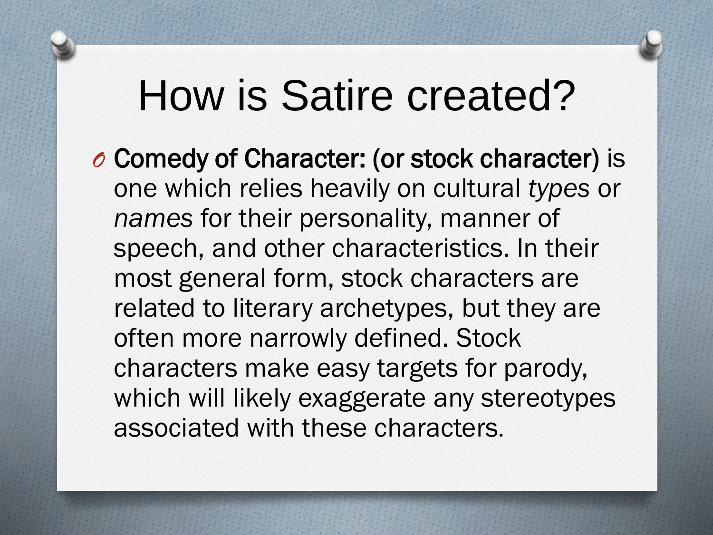### How is Satire created?

*O* Comedy of Character: (or stock character) is one which relies heavily on cultural *types* or *names* for their personality, manner of speech, and other characteristics. In their most general form, stock characters are related to literary archetypes, but they are often more narrowly defined. Stock characters make easy targets for parody, which will likely exaggerate any stereotypes associated with these characters.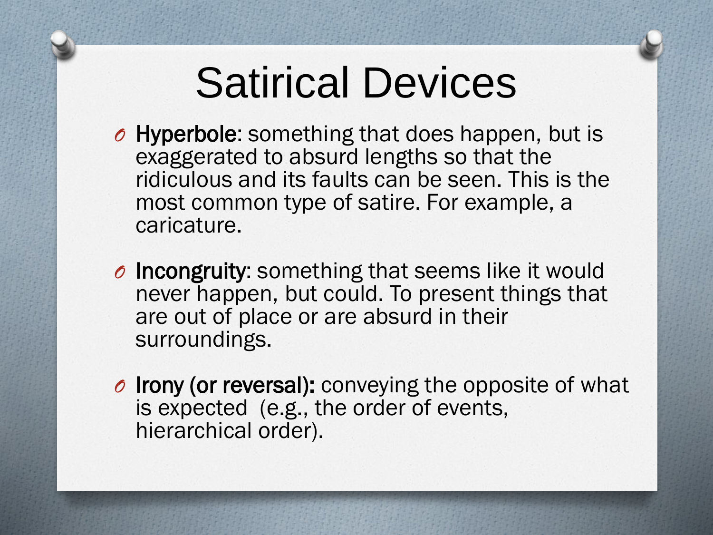## Satirical Devices

- *O* Hyperbole: something that does happen, but is exaggerated to absurd lengths so that the ridiculous and its faults can be seen. This is the most common type of satire. For example, a caricature.
- *O* Incongruity: something that seems like it would never happen, but could. To present things that are out of place or are absurd in their surroundings.
- *O* Irony (or reversal): conveying the opposite of what is expected (e.g., the order of events, hierarchical order).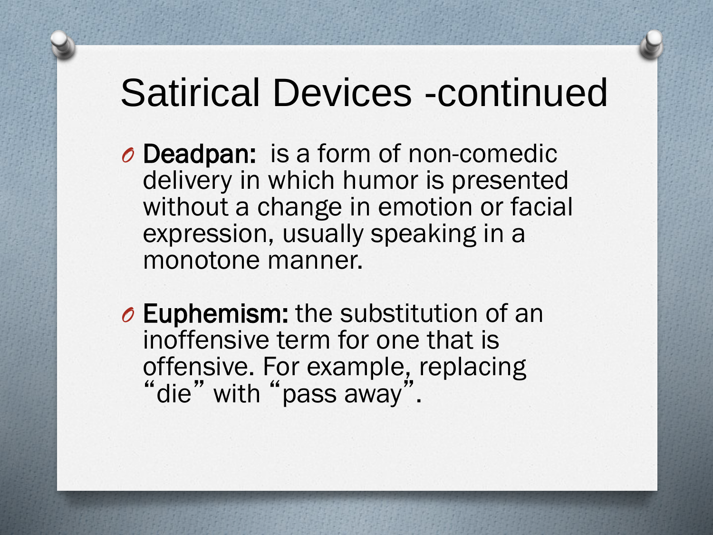#### Satirical Devices -continued

- *O* Deadpan: is a form of non-comedic delivery in which humor is presented without a change in emotion or facial expression, usually speaking in a monotone manner.
- *O* Euphemism: the substitution of an inoffensive term for one that is offensive. For example, replacing "die" with "pass away".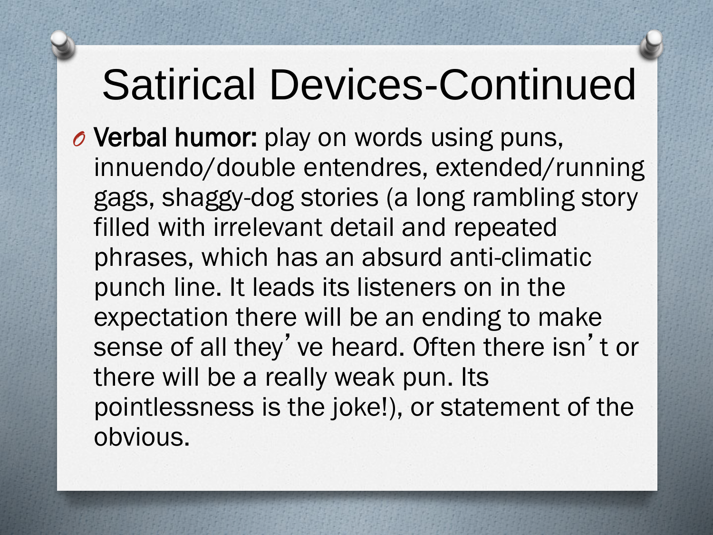## Satirical Devices-Continued

*O* Verbal humor: play on words using puns, innuendo/double entendres, extended/running gags, shaggy-dog stories (a long rambling story filled with irrelevant detail and repeated phrases, which has an absurd anti-climatic punch line. It leads its listeners on in the expectation there will be an ending to make sense of all they' ve heard. Often there isn't or there will be a really weak pun. Its pointlessness is the joke!), or statement of the obvious.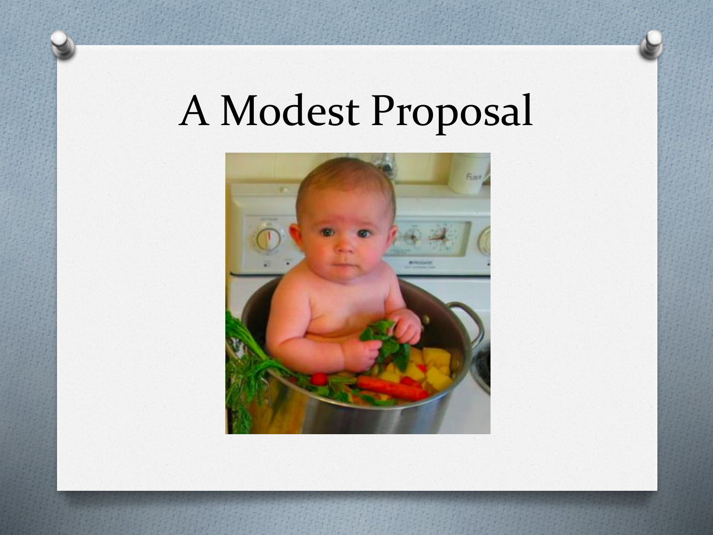# A Modest Proposal

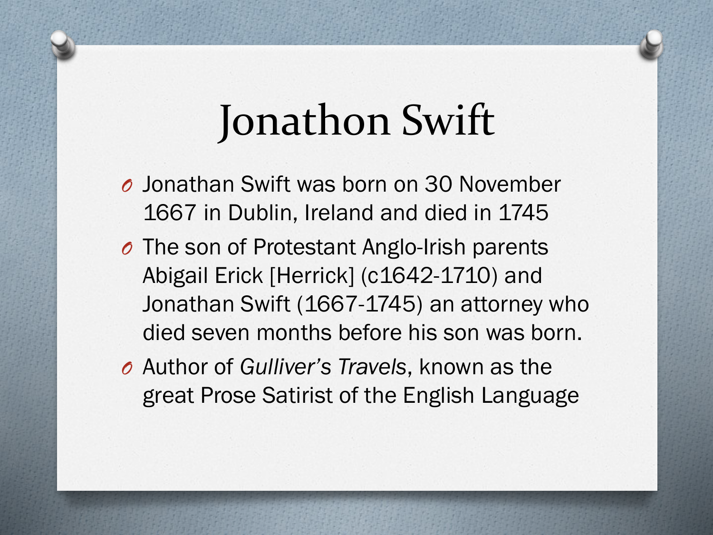## Jonathon Swift

- *O* Jonathan Swift was born on 30 November 1667 in Dublin, Ireland and died in 1745
- *O* The son of Protestant Anglo-Irish parents Abigail Erick [Herrick] (c1642-1710) and Jonathan Swift (1667-1745) an attorney who died seven months before his son was born.
- *O* Author of *Gulliver's Travels*, known as the great Prose Satirist of the English Language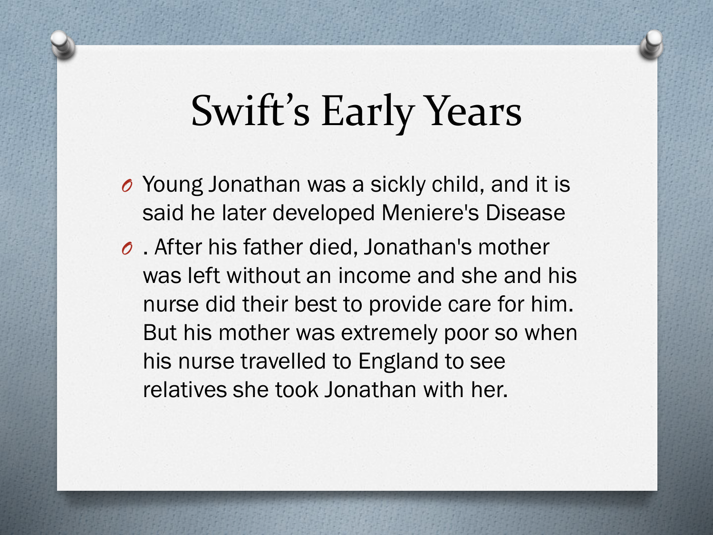## Swift's Early Years

- *O* Young Jonathan was a sickly child, and it is said he later developed Meniere's Disease
- *O* . After his father died, Jonathan's mother was left without an income and she and his nurse did their best to provide care for him. But his mother was extremely poor so when his nurse travelled to England to see relatives she took Jonathan with her.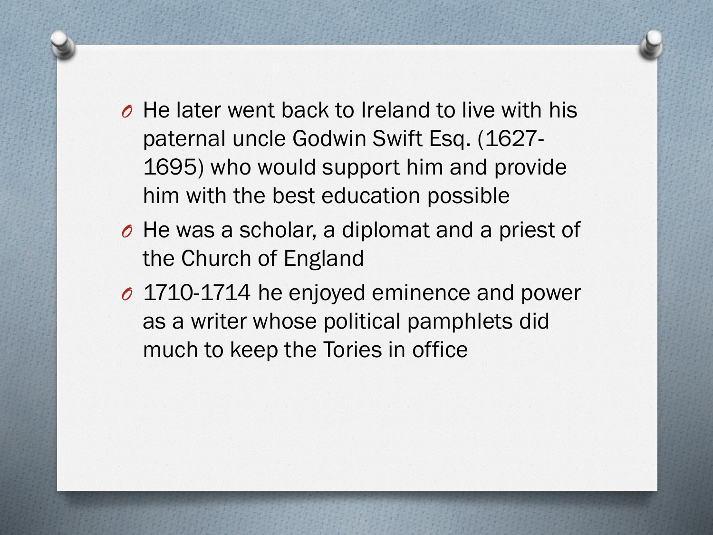- *O* He later went back to Ireland to live with his paternal uncle Godwin Swift Esq. (1627- 1695) who would support him and provide him with the best education possible
- *O* He was a scholar, a diplomat and a priest of the Church of England
- *O* 1710-1714 he enjoyed eminence and power as a writer whose political pamphlets did much to keep the Tories in office